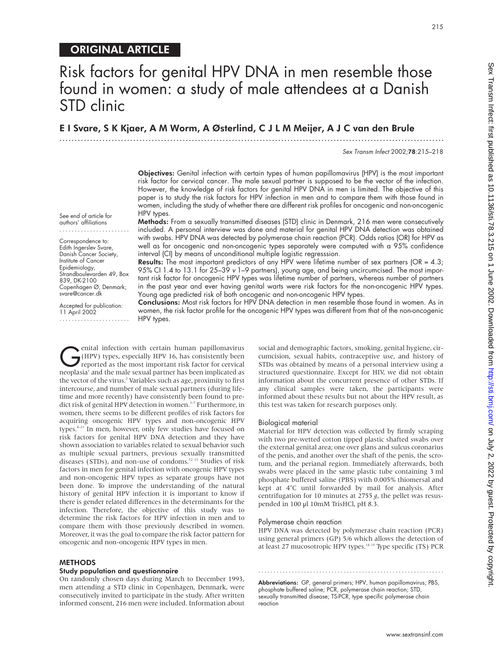# ORIGINAL ARTICLE

# Risk factors for genital HPV DNA in men resemble those found in women: a study of male attendees at a Danish STD clinic

E I Svare, S K Kjaer, A M Worm, A Østerlind,CJLM Meijer, A J C van den Brule

.............................................................................................................................

Sex Transm Infect 2002;78:215–218

215

Objectives: Genital infection with certain types of human papillomavirus (HPV) is the most important risk factor for cervical cancer. The male sexual partner is supposed to be the vector of the infection. However, the knowledge of risk factors for genital HPV DNA in men is limited. The objective of this paper is to study the risk factors for HPV infection in men and to compare them with those found in women, including the study of whether there are different risk profiles for oncogenic and non-oncogenic HPV types.

See end of article for authors' affiliations .......................

Correspondence to: Edith Ingerslev Svare, Danish Cancer Society, Institute of Cancer Epidemiology, Strandboulevarden 49, Box 839, DK-2100 Copenhagen Ø, Denmark; svare@cancer.dk

Accepted for publication: 11 April 2002 .......................

Methods: From a sexually transmitted diseases (STD) clinic in Denmark, 216 men were consecutively included. A personal interview was done and material for genital HPV DNA detection was obtained with swabs. HPV DNA was detected by polymerase chain reaction (PCR). Odds ratios (OR) for HPV as well as for oncogenic and non-oncogenic types separately were computed with a 95% confidence interval (CI) by means of unconditional multiple logistic regresssion.

Results: The most important predictors of any HPV were lifetime number of sex partners (OR = 4.3; 95% CI 1.4 to 13.1 for 25–39 <sup>v</sup> 1–9 partners), young age, and being uncircumcised. The most important risk factor for oncogenic HPV types was lifetime number of partners, whereas number of partners in the past year and ever having genital warts were risk factors for the non-oncogenic HPV types. Young age predicted risk of both oncogenic and non-oncogenic HPV types.

Conclusions: Most risk factors for HPV DNA detection in men resemble those found in women. As in women, the risk factor profile for the oncogenic HPV types was different from that of the non-oncogenic HPV types.

enital infection with certain human papillomavirus<br>(HPV) types, especially HPV 16, has consistently been<br>reported as the most important risk factor for cervical<br>neonlasial and the male sexual partner has been implicated as (HPV) types, especially HPV 16, has consistently been neoplasia<sup>1</sup> and the male sexual partner has been implicated as the vector of the virus.<sup>2</sup> Variables such as age, proximity to first intercourse, and number of male sexual partners (during lifetime and more recently) have consistently been found to predict risk of genital HPV detection in women.<sup>3-7</sup> Furthermore, in women, there seems to be different profiles of risk factors for acquiring oncogenic HPV types and non-oncogenic HPV types.<sup>8-11</sup> In men, however, only few studies have focused on risk factors for genital HPV DNA detection and they have shown association to variables related to sexual behavior such as multiple sexual partners, previous sexually transmitted diseases (STDs), and non-use of condoms.12 13 Studies of risk factors in men for genital infection with oncogenic HPV types and non-oncogenic HPV types as separate groups have not been done. To improve the understanding of the natural history of genital HPV infection it is important to know if there is gender related differences in the determinants for the infection. Therefore, the objective of this study was to determine the risk factors for HPV infection in men and to compare them with those previously described in women. Moreover, it was the goal to compare the risk factor pattern for oncogenic and non-oncogenic HPV types in men.

## **METHODS**

#### Study population and questionnaire

On randomly chosen days during March to December 1993, men attending a STD clinic in Copenhagen, Denmark, were consecutively invited to participate in the study. After written informed consent, 216 men were included. Information about

social and demographic factors, smoking, genital hygiene, circumcision, sexual habits, contraceptive use, and history of STDs was obtained by means of a personal interview using a structured questionnaire. Except for HIV, we did not obtain information about the concurrent presence of other STDs. If any clinical samples were taken, the participants were informed about these results but not about the HPV result, as this test was taken for research purposes only.

#### Biological material

Material for HPV detection was collected by firmly scraping with two pre-wetted cotton tipped plastic shafted swabs over the external genital area; one over glans and sulcus coronarius of the penis, and another over the shaft of the penis, the scrotum, and the perianal region. Immediately afterwards, both swabs were placed in the same plastic tube containing 3 ml phosphate buffered saline (PBS) with 0.005% thiomersal and kept at 4°C until forwarded by mail for analysis. After centrifugation for 10 minutes at 2755 *g*, the pellet was resuspended in 100 µl 10mM TrisHCl, pH 8.3.

#### Polymerase chain reaction

HPV DNA was detected by polymerase chain reaction (PCR) using general primers (GP) 5/6 which allows the detection of at least 27 mucosotropic HPV types.<sup>14 15</sup> Type specific (TS) PCR

Abbreviations: GP, general primers; HPV, human papillomavirus; PBS, phosphate buffered saline; PCR, polymerase chain reaction; STD, sexually transmitted disease; TS-PCR, type specific polymerase chain reaction

.............................................................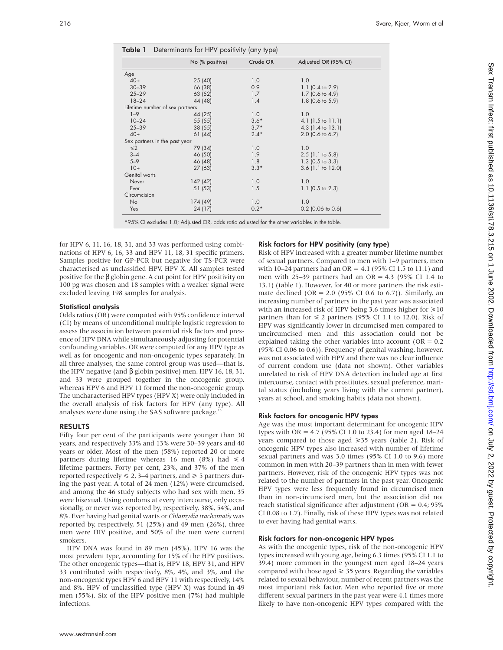|                                 | No (% positive) | Crude OR | Adjusted OR (95% CI)        |  |  |  |
|---------------------------------|-----------------|----------|-----------------------------|--|--|--|
| Age                             |                 |          |                             |  |  |  |
| $40+$                           | 25(40)          | 1.0      | 1.0                         |  |  |  |
| $30 - 39$                       | 66 (38)         | 0.9      | 1.1 $(0.4 \text{ to } 2.9)$ |  |  |  |
| $25 - 29$                       | 63 (52)         | 1.7      | $1.7$ (0.6 to 4.9)          |  |  |  |
| $18 - 24$                       | 44 (48)         | 1.4      | 1.8 (0.6 to 5.9)            |  |  |  |
| Lifetime number of sex partners |                 |          |                             |  |  |  |
| $1 - 9$                         | 44 (25)         | 1.0      | 1.0                         |  |  |  |
| $10 - 24$                       | 55 (55)         | $3.6*$   | $4.1$ (1.5 to 11.1)         |  |  |  |
| $25 - 39$                       | 38 (55)         | $3.7*$   | 4.3 (1.4 to 13.1)           |  |  |  |
| $40+$                           | 61(44)          | $2.4*$   | 2.0 (0.6 to 6.7)            |  |  |  |
| Sex partners in the past year   |                 |          |                             |  |  |  |
| $\leq 2$                        | 79 (34)         | 1.0      | 1.0                         |  |  |  |
| $3 - 4$                         | 46 (50)         | 1.9      | $2.5$ (1.1 to 5.8)          |  |  |  |
| $5 - 9$                         | 46 (48)         | 1.8      | 1.3 $(0.5 \text{ to } 3.3)$ |  |  |  |
| $10+$                           | 27(63)          | $3.3*$   | $3.6$ (1.1 to 12.0)         |  |  |  |
| Genital warts                   |                 |          |                             |  |  |  |
| Never                           | 142(42)         | 1.0      | 1.0                         |  |  |  |
| Ever                            | 51 (53)         | 1.5      | 1.1 $(0.5 \text{ to } 2.3)$ |  |  |  |
| Circumcision                    |                 |          |                             |  |  |  |
| <b>No</b>                       | 174 (49)        | 1.0      | 1.0                         |  |  |  |
| Yes                             | 24 (17)         | $0.2*$   | $0.2$ (0.06 to 0.6)         |  |  |  |

for HPV 6, 11, 16, 18, 31, and 33 was performed using combinations of HPV 6, 16, 33 and HPV 11, 18, 31 specific primers. Samples positive for GP-PCR but negative for TS-PCR were characterised as unclassified HPV, HPV X. All samples tested positive for the β globin gene. A cut point for HPV positivity on 100 pg was chosen and 18 samples with a weaker signal were excluded leaving 198 samples for analysis.

## Statistical analysis

Odds ratios (OR) were computed with 95% confidence interval (CI) by means of unconditional multiple logistic regression to assess the association between potential risk factors and presence of HPV DNA while simultaneously adjusting for potential confounding variables. OR were computed for any HPV type as well as for oncogenic and non-oncogenic types separately. In all three analyses, the same control group was used—that is, the HPV negative (and β globin positive) men. HPV 16, 18, 31, and 33 were grouped together in the oncogenic group, whereas HPV 6 and HPV 11 formed the non-oncogenic group. The uncharacterised HPV types (HPV X) were only included in the overall analysis of risk factors for HPV (any type). All analyses were done using the SAS software package.<sup>1</sup>

## RESULTS

Fifty four per cent of the participants were younger than 30 years, and respectively 33% and 13% were 30–39 years and 40 years or older. Most of the men (58%) reported 20 or more partners during lifetime whereas 16 men (8%) had  $\leq 4$ lifetime partners. Forty per cent, 23%, and 37% of the men reported respectively  $\leq 2$ , 3–4 partners, and  $\geq 5$  partners during the past year. A total of 24 men (12%) were circumcised, and among the 46 study subjects who had sex with men, 35 were bisexual. Using condoms at every intercourse, only occasionally, or never was reported by, respectively, 38%, 54%, and 8%. Ever having had genital warts or *Chlamydia trachomatis* was reported by, respectively, 51 (25%) and 49 men (26%), three men were HIV positive, and 50% of the men were current smokers.

HPV DNA was found in 89 men (45%). HPV 16 was the most prevalent type, accounting for 15% of the HPV positives. The other oncogenic types—that is, HPV 18, HPV 31, and HPV 33 contributed with respectively, 8%, 4%, and 3%, and the non-oncogenic types HPV 6 and HPV 11 with respectively, 14% and 8%. HPV of unclassified type (HPV X) was found in 49 men (55%). Six of the HPV positive men (7%) had multiple infections.

## Risk factors for HPV positivity (any type)

Risk of HPV increased with a greater number lifetime number of sexual partners. Compared to men with 1–9 partners, men with 10–24 partners had an  $OR = 4.1$  (95% CI 1.5 to 11.1) and men with 25–39 partners had an  $OR = 4.3$  (95% CI 1.4 to 13.1) (table 1). However, for 40 or more partners the risk estimate declined (OR = 2.0 (95% CI 0.6 to 6.7)). Similarly, an increasing number of partners in the past year was associated with an increased risk of HPV being 3.6 times higher for  $\geq 10$ partners than for  $\leq 2$  partners (95% CI 1.1 to 12.0). Risk of HPV was significantly lower in circumcised men compared to uncircumcised men and this association could not be explained taking the other variables into account ( $OR = 0.2$ ) (95% CI 0.06 to 0.6)). Frequency of genital washing, however, was not associated with HPV and there was no clear influence of current condom use (data not shown). Other variables unrelated to risk of HPV DNA detection included age at first intercourse, contact with prostitutes, sexual preference, marital status (including years living with the current partner), years at school, and smoking habits (data not shown).

## Risk factors for oncogenic HPV types

Age was the most important determinant for oncogenic HPV types with OR = 4.7 (95% CI 1.0 to 23.4) for men aged 18–24 years compared to those aged  $\geq 35$  years (table 2). Risk of oncogenic HPV types also increased with number of lifetime sexual partners and was 3.0 times (95% CI 1.0 to 9.6) more common in men with 20–39 partners than in men with fewer partners. However, risk of the oncogenic HPV types was not related to the number of partners in the past year. Oncogenic HPV types were less frequently found in circumcised men than in non-circumcised men, but the association did not reach statistical significance after adjustment ( $OR = 0.4$ ; 95%) CI 0.08 to 1.7). Finally, risk of these HPV types was not related to ever having had genital warts.

## Risk factors for non-oncogenic HPV types

As with the oncogenic types, risk of the non-oncogenic HPV types increased with young age, being 6.3 times (95% CI 1.1 to 39.4) more common in the youngest men aged 18–24 years compared with those aged  $\geq$  35 years. Regarding the variables related to sexual behaviour, number of recent partners was the most important risk factor. Men who reported five or more different sexual partners in the past year were 4.1 times more likely to have non-oncogenic HPV types compared with the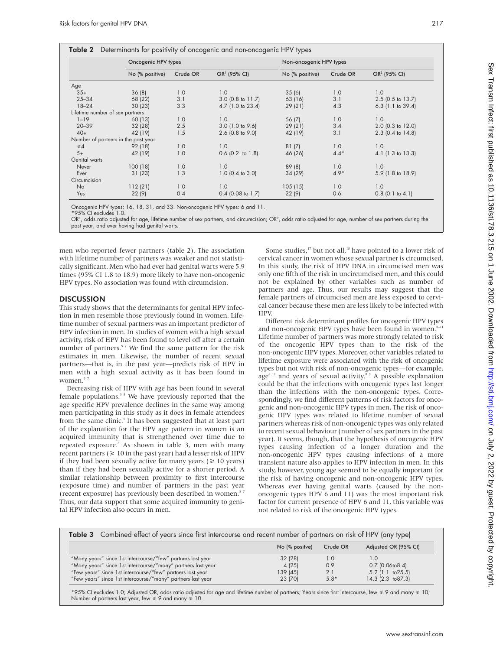|  |  |  | Table 2 Determinants for positivity of oncogenic and non-oncogenic HPV types |  |
|--|--|--|------------------------------------------------------------------------------|--|
|  |  |  |                                                                              |  |

|                                 | Oncogenic HPV types                 |          |                          | Non-oncogenic HPV types |          |                          |
|---------------------------------|-------------------------------------|----------|--------------------------|-------------------------|----------|--------------------------|
|                                 | No (% positive)                     | Crude OR | OR <sup>1</sup> (95% CI) | No (% positive)         | Crude OR | OR <sup>2</sup> (95% CI) |
| Age                             |                                     |          |                          |                         |          |                          |
| $35+$                           | 36(8)                               | 1.0      | 1.0                      | 35(6)                   | 1.0      | 1.0                      |
| $25 - 34$                       | 68 (22)                             | 3.1      | $3.0$ (0.8 to 11.7)      | 63 (16)                 | 3.1      | 2.5 (0.5 to 13.7)        |
| $18 - 24$                       | 30(23)                              | 3.3      | 4.7 (1.0 to 23.4)        | 29(21)                  | 4.3      | $6.3$ (1.1 to 39.4)      |
| Lifetime number of sex partners |                                     |          |                          |                         |          |                          |
| $1 - 19$                        | 60 (13)                             | 1.0      | 1.0                      | 56 (7)                  | 1.0      | 1.0                      |
| $20 - 39$                       | 32 (28)                             | 2.5      | $3.0$ (1.0 to 9.6)       | 29(21)                  | 3.4      | 2.0 (0.3 to 12.0)        |
| $40+$                           | 42 (19)                             | 1.5      | $2.6$ (0.8 to 9.0)       | 42 (19)                 | 3.1      | 2.3 (0.4 to 14.8)        |
|                                 | Number of partners in the past year |          |                          |                         |          |                          |
| $\leq 4$                        | 92 (18)                             | 1.0      | 1.0                      | 81(7)                   | 1.0      | 1.0                      |
| $5+$                            | 42 (19)                             | 1.0      | $0.6$ $(0.2.$ to $1.8)$  | 46 (26)                 | $4.4*$   | 4.1 (1.3 to 13.3)        |
| Genital warts                   |                                     |          |                          |                         |          |                          |
| Never                           | 100(18)                             | 1.0      | 1.0                      | 89(8)                   | 1.0      | 1.0                      |
| Ever                            | 31(23)                              | 1.3      | $1.0$ (0.4 to 3.0)       | 34 (29)                 | $4.9*$   | 5.9 (1.8 to 18.9)        |
| Circumcision                    |                                     |          |                          |                         |          |                          |
| N <sub>o</sub>                  | 112(21)                             | 1.0      | 1.0                      | 105(15)                 | 1.0      | 1.0                      |
| Yes                             | 22(9)                               | 0.4      | $0.4$ (0.08 to 1.7)      | 22(9)                   | 0.6      | $0.8$ (0.1 to 4.1)       |

Oncogenic HPV types: 16, 18, 31, and 33. Non-oncogenic HPV types: 6 and 11.

\*95% CI excludes 1.0.

OR', odds ratio adjusted for age, lifetime number of sex partners, and circumcision; OR<sup>2</sup>, odds ratio adjusted for age, number of sex partners during the past year, and ever having had genital warts.

men who reported fewer partners (table 2). The association with lifetime number of partners was weaker and not statistically significant. Men who had ever had genital warts were 5.9 times (95% CI 1.8 to 18.9) more likely to have non-oncogenic HPV types. No association was found with circumcision.

## **DISCUSSION**

This study shows that the determinants for genital HPV infection in men resemble those previously found in women. Lifetime number of sexual partners was an important predictor of HPV infection in men. In studies of women with a high sexual activity, risk of HPV has been found to level off after a certain number of partners.<sup>57</sup> We find the same pattern for the risk estimates in men. Likewise, the number of recent sexual partners—that is, in the past year—predicts risk of HPV in men with a high sexual activity as it has been found in women.<sup>57</sup>

Decreasing risk of HPV with age has been found in several female populations. $3-5$  We have previously reported that the age specific HPV prevalence declines in the same way among men participating in this study as it does in female attendees from the same clinic.<sup>5</sup> It has been suggested that at least part of the explanation for the HPV age pattern in women is an acquired immunity that is strengthened over time due to repeated exposure.<sup>6</sup> As shown in table 3, men with many recent partners ( $\geq 10$  in the past year) had a lesser risk of HPV if they had been sexually active for many years  $( \geq 10 \text{ years})$ than if they had been sexually active for a shorter period. A similar relationship between proximity to first intercourse (exposure time) and number of partners in the past year (recent exposure) has previously been described in women.<sup>5</sup> Thus, our data support that some acquired immunity to genital HPV infection also occurs in men.

Some studies,<sup>17</sup> but not all,<sup>18</sup> have pointed to a lower risk of cervical cancer in women whose sexual partner is circumcised. In this study, the risk of HPV DNA in circumcised men was only one fifth of the risk in uncircumcised men, and this could not be explained by other variables such as number of partners and age. Thus, our results may suggest that the female partners of circumcised men are less exposed to cervical cancer because these men are less likely to be infected with HPV.

Different risk determinant profiles for oncogenic HPV types and non-oncogenic HPV types have been found in women.<sup>8-11</sup> Lifetime number of partners was more strongly related to risk of the oncogenic HPV types than to the risk of the non-oncogenic HPV types. Moreover, other variables related to lifetime exposure were associated with the risk of oncogenic types but not with risk of non-oncogenic types—for example,  $\mathbf{a} \cdot \mathbf{b}$  and years of sexual activity.<sup>89</sup> A possible explanation could be that the infections with oncogenic types last longer than the infections with the non-oncogenic types. Correspondingly, we find different patterns of risk factors for oncogenic and non-oncogenic HPV types in men. The risk of oncogenic HPV types was related to lifetime number of sexual partners whereas risk of non-oncogenic types was only related to recent sexual behaviour (number of sex partners in the past year). It seems, though, that the hypothesis of oncogenic HPV types causing infection of a longer duration and the non-oncogenic HPV types causing infections of a more transient nature also applies to HPV infection in men. In this study, however, young age seemed to be equally important for the risk of having oncogenic and non-oncogenic HPV types. Whereas ever having genital warts (caused by the nononcogenic types HPV 6 and 11) was the most important risk factor for current presence of HPV 6 and 11, this variable was not related to risk of the oncogenic HPV types.

| <b>Table 3</b> Combined effect of years since first intercourse and recent number of partners on risk of HPV (any type) |                |          |                        |  |  |  |
|-------------------------------------------------------------------------------------------------------------------------|----------------|----------|------------------------|--|--|--|
|                                                                                                                         | No (% positve) | Crude OR | Adjusted OR (95% CI)   |  |  |  |
| "Many years" since 1st intercourse/"few" partners last year                                                             | 32 (28)        | 1.0      | 1.0                    |  |  |  |
| "Many years" since 1st intercourse/"many" partners last year                                                            | 4(25)          | 0.9      | $0.7$ (0.06to8.4)      |  |  |  |
| "Few years" since 1st intercourse/"few" partners last year                                                              | 139(45)        | 2.1      | $5.2$ (1.1 to $25.5$ ) |  |  |  |
| "Few years" since 1st intercourse/"many" partners last year                                                             | 23 (70)        | $5.8*$   | $14.3$ (2.3 to 87.3)   |  |  |  |

\*95% CI excludes 1.0; Adjusted OR, odds ratio adjusted for age and lifetime number of partners; Years since first intercourse, few < 9 and many > 10; Number of partners last year, few  $\leq 9$  and many  $\geq 10$ .